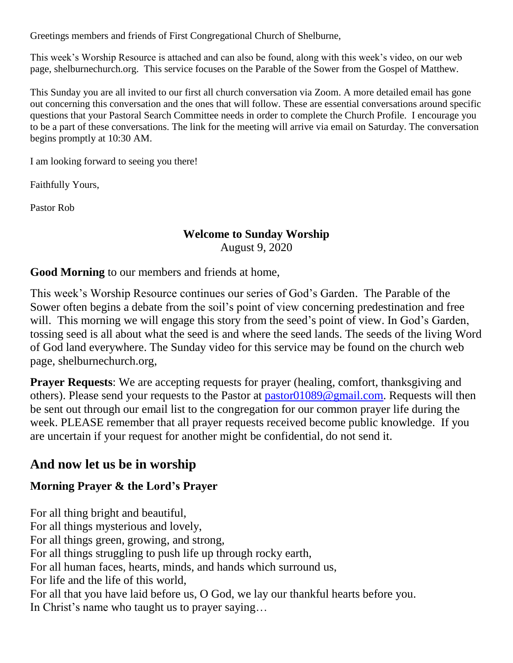Greetings members and friends of First Congregational Church of Shelburne,

This week's Worship Resource is attached and can also be found, along with this week's video, on our web page, shelburnechurch.org. This service focuses on the Parable of the Sower from the Gospel of Matthew.

This Sunday you are all invited to our first all church conversation via Zoom. A more detailed email has gone out concerning this conversation and the ones that will follow. These are essential conversations around specific questions that your Pastoral Search Committee needs in order to complete the Church Profile. I encourage you to be a part of these conversations. The link for the meeting will arrive via email on Saturday. The conversation begins promptly at 10:30 AM.

I am looking forward to seeing you there!

Faithfully Yours,

Pastor Rob

## **Welcome to Sunday Worship**

August 9, 2020

**Good Morning** to our members and friends at home,

This week's Worship Resource continues our series of God's Garden. The Parable of the Sower often begins a debate from the soil's point of view concerning predestination and free will. This morning we will engage this story from the seed's point of view. In God's Garden, tossing seed is all about what the seed is and where the seed lands. The seeds of the living Word of God land everywhere. The Sunday video for this service may be found on the church web page, shelburnechurch.org,

**Prayer Requests:** We are accepting requests for prayer (healing, comfort, thanksgiving and others). Please send your requests to the Pastor at [pastor01089@gmail.com.](mailto:pastor01089@gmail.com) Requests will then be sent out through our email list to the congregation for our common prayer life during the week. PLEASE remember that all prayer requests received become public knowledge. If you are uncertain if your request for another might be confidential, do not send it.

## **And now let us be in worship**

#### **Morning Prayer & the Lord's Prayer**

For all thing bright and beautiful, For all things mysterious and lovely, For all things green, growing, and strong, For all things struggling to push life up through rocky earth, For all human faces, hearts, minds, and hands which surround us, For life and the life of this world, For all that you have laid before us, O God, we lay our thankful hearts before you. In Christ's name who taught us to prayer saying…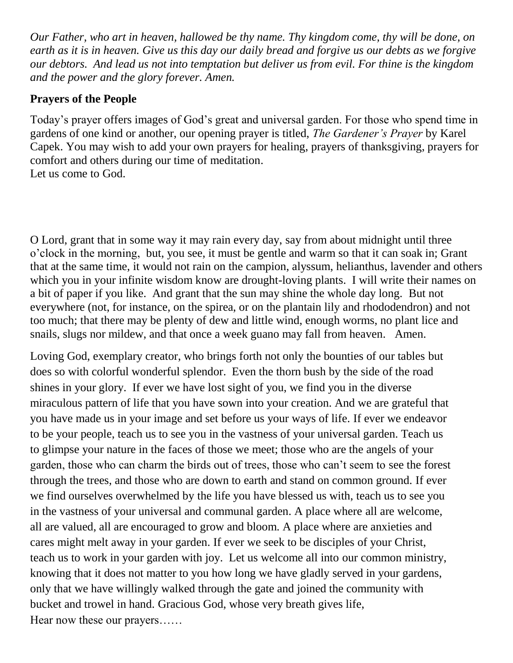*Our Father, who art in heaven, hallowed be thy name. Thy kingdom come, thy will be done, on earth as it is in heaven. Give us this day our daily bread and forgive us our debts as we forgive our debtors. And lead us not into temptation but deliver us from evil. For thine is the kingdom and the power and the glory forever. Amen.*

# **Prayers of the People**

Today's prayer offers images of God's great and universal garden. For those who spend time in gardens of one kind or another, our opening prayer is titled, *The Gardener's Prayer* by Karel Capek. You may wish to add your own prayers for healing, prayers of thanksgiving, prayers for comfort and others during our time of meditation. Let us come to God.

O Lord, grant that in some way it may rain every day, say from about midnight until three o'clock in the morning, but, you see, it must be gentle and warm so that it can soak in; Grant that at the same time, it would not rain on the campion, alyssum, helianthus, lavender and others which you in your infinite wisdom know are drought-loving plants. I will write their names on a bit of paper if you like. And grant that the sun may shine the whole day long. But not everywhere (not, for instance, on the spirea, or on the plantain lily and rhododendron) and not too much; that there may be plenty of dew and little wind, enough worms, no plant lice and snails, slugs nor mildew, and that once a week guano may fall from heaven. Amen.

Loving God, exemplary creator, who brings forth not only the bounties of our tables but does so with colorful wonderful splendor. Even the thorn bush by the side of the road shines in your glory. If ever we have lost sight of you, we find you in the diverse miraculous pattern of life that you have sown into your creation. And we are grateful that you have made us in your image and set before us your ways of life. If ever we endeavor to be your people, teach us to see you in the vastness of your universal garden. Teach us to glimpse your nature in the faces of those we meet; those who are the angels of your garden, those who can charm the birds out of trees, those who can't seem to see the forest through the trees, and those who are down to earth and stand on common ground. If ever we find ourselves overwhelmed by the life you have blessed us with, teach us to see you in the vastness of your universal and communal garden. A place where all are welcome, all are valued, all are encouraged to grow and bloom. A place where are anxieties and cares might melt away in your garden. If ever we seek to be disciples of your Christ, teach us to work in your garden with joy. Let us welcome all into our common ministry, knowing that it does not matter to you how long we have gladly served in your gardens, only that we have willingly walked through the gate and joined the community with bucket and trowel in hand. Gracious God, whose very breath gives life, Hear now these our prayers……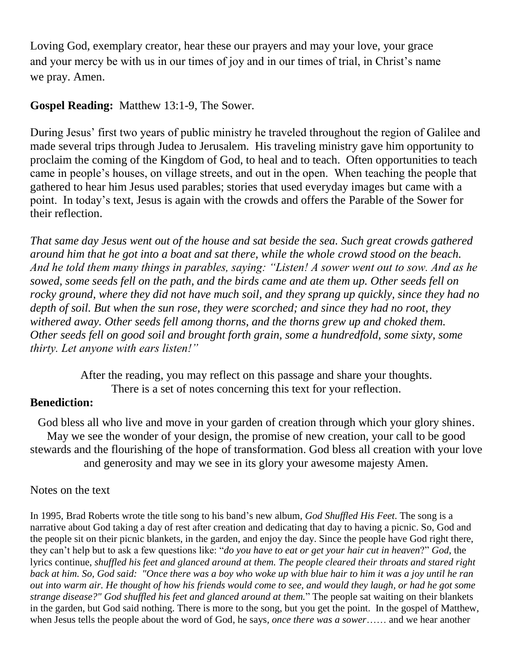Loving God, exemplary creator, hear these our prayers and may your love, your grace and your mercy be with us in our times of joy and in our times of trial, in Christ's name we pray. Amen.

### **Gospel Reading:** Matthew 13:1-9, The Sower.

During Jesus' first two years of public ministry he traveled throughout the region of Galilee and made several trips through Judea to Jerusalem. His traveling ministry gave him opportunity to proclaim the coming of the Kingdom of God, to heal and to teach. Often opportunities to teach came in people's houses, on village streets, and out in the open. When teaching the people that gathered to hear him Jesus used parables; stories that used everyday images but came with a point. In today's text, Jesus is again with the crowds and offers the Parable of the Sower for their reflection.

*That same day Jesus went out of the house and sat beside the sea. Such great crowds gathered around him that he got into a boat and sat there, while the whole crowd stood on the beach. And he told them many things in parables, saying: "Listen! A sower went out to sow. And as he sowed, some seeds fell on the path, and the birds came and ate them up. Other seeds fell on rocky ground, where they did not have much soil, and they sprang up quickly, since they had no depth of soil. But when the sun rose, they were scorched; and since they had no root, they withered away. Other seeds fell among thorns, and the thorns grew up and choked them. Other seeds fell on good soil and brought forth grain, some a hundredfold, some sixty, some thirty. Let anyone with ears listen!"*

> After the reading, you may reflect on this passage and share your thoughts. There is a set of notes concerning this text for your reflection.

#### **Benediction:**

God bless all who live and move in your garden of creation through which your glory shines. May we see the wonder of your design, the promise of new creation, your call to be good stewards and the flourishing of the hope of transformation. God bless all creation with your love and generosity and may we see in its glory your awesome majesty Amen.

#### Notes on the text

In 1995, Brad Roberts wrote the title song to his band's new album, *God Shuffled His Feet*. The song is a narrative about God taking a day of rest after creation and dedicating that day to having a picnic. So, God and the people sit on their picnic blankets, in the garden, and enjoy the day. Since the people have God right there, they can't help but to ask a few questions like: "*do you have to eat or get your hair cut in heaven*?" *God*, the lyrics continue, *shuffled his feet and glanced around at them. The people cleared their throats and stared right back at him. So, God said: "Once there was a boy who woke up with blue hair to him it was a joy until he ran out into warm air. He thought of how his friends would come to see, and would they laugh, or had he got some strange disease?" God shuffled his feet and glanced around at them.*" The people sat waiting on their blankets in the garden, but God said nothing. There is more to the song, but you get the point. In the gospel of Matthew, when Jesus tells the people about the word of God, he says*, once there was a sower*…… and we hear another